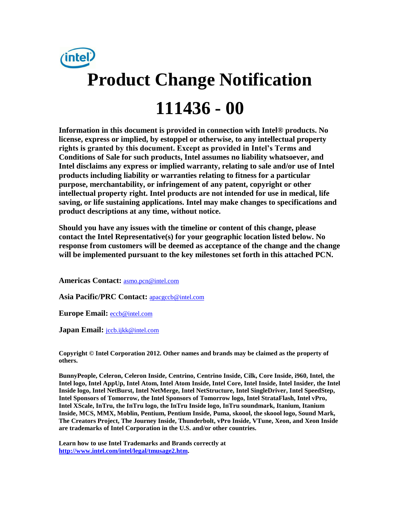

**Information in this document is provided in connection with Intel® products. No license, express or implied, by estoppel or otherwise, to any intellectual property rights is granted by this document. Except as provided in Intel's Terms and Conditions of Sale for such products, Intel assumes no liability whatsoever, and Intel disclaims any express or implied warranty, relating to sale and/or use of Intel products including liability or warranties relating to fitness for a particular purpose, merchantability, or infringement of any patent, copyright or other intellectual property right. Intel products are not intended for use in medical, life saving, or life sustaining applications. Intel may make changes to specifications and product descriptions at any time, without notice.** 

**Should you have any issues with the timeline or content of this change, please contact the Intel Representative(s) for your geographic location listed below. No response from customers will be deemed as acceptance of the change and the change will be implemented pursuant to the key milestones set forth in this attached PCN.** 

**Americas Contact:** [asmo.pcn@intel.com](mailto:asmo.pcn@intel.com) 

**Asia Pacific/PRC Contact:** [apacgccb@intel.com](mailto:apacgccb@intel.com) 

**Europe Email:** [eccb@intel.com](mailto:eccb@intel.com) 

Japan Email: **jccb.ijkk@intel.com** 

**Copyright © Intel Corporation 2012. Other names and brands may be claimed as the property of others.**

**BunnyPeople, Celeron, Celeron Inside, Centrino, Centrino Inside, Cilk, Core Inside, i960, Intel, the Intel logo, Intel AppUp, Intel Atom, Intel Atom Inside, Intel Core, Intel Inside, Intel Insider, the Intel Inside logo, Intel NetBurst, Intel NetMerge, Intel NetStructure, Intel SingleDriver, Intel SpeedStep, Intel Sponsors of Tomorrow, the Intel Sponsors of Tomorrow logo, Intel StrataFlash, Intel vPro, Intel XScale, InTru, the InTru logo, the InTru Inside logo, InTru soundmark, Itanium, Itanium Inside, MCS, MMX, Moblin, Pentium, Pentium Inside, Puma, skoool, the skoool logo, Sound Mark, The Creators Project, The Journey Inside, Thunderbolt, vPro Inside, VTune, Xeon, and Xeon Inside are trademarks of Intel Corporation in the U.S. and/or other countries.**

**Learn how to use Intel Trademarks and Brands correctly at [http://www.intel.com/intel/legal/tmusage2.htm.](http://www.intel.com/intel/legal/tmusage2.htm)**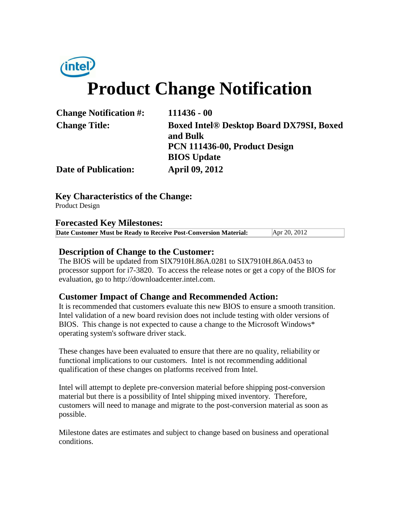# *(intel)* **Product Change Notification**

| <b>Change Notification #:</b> | $111436 - 00$                                               |  |
|-------------------------------|-------------------------------------------------------------|--|
| <b>Change Title:</b>          | <b>Boxed Intel® Desktop Board DX79SI, Boxed</b><br>and Bulk |  |
|                               | PCN 111436-00, Product Design<br><b>BIOS</b> Update         |  |
| <b>Date of Publication:</b>   | <b>April 09, 2012</b>                                       |  |

#### **Key Characteristics of the Change:**

Product Design

#### **Forecasted Key Milestones:**

| Date Customer Must be Ready to Receive Post-Conversion Material: | Apr 20, 2012 |  |
|------------------------------------------------------------------|--------------|--|
|------------------------------------------------------------------|--------------|--|

#### **Description of Change to the Customer:**

The BIOS will be updated from SIX7910H.86A.0281 to SIX7910H.86A.0453 to processor support for i7-3820. To access the release notes or get a copy of the BIOS for evaluation, go to http://downloadcenter.intel.com.

#### **Customer Impact of Change and Recommended Action:**

It is recommended that customers evaluate this new BIOS to ensure a smooth transition. Intel validation of a new board revision does not include testing with older versions of BIOS. This change is not expected to cause a change to the Microsoft Windows\* operating system's software driver stack.

These changes have been evaluated to ensure that there are no quality, reliability or functional implications to our customers. Intel is not recommending additional qualification of these changes on platforms received from Intel.

Intel will attempt to deplete pre-conversion material before shipping post-conversion material but there is a possibility of Intel shipping mixed inventory. Therefore, customers will need to manage and migrate to the post-conversion material as soon as possible.

Milestone dates are estimates and subject to change based on business and operational conditions.